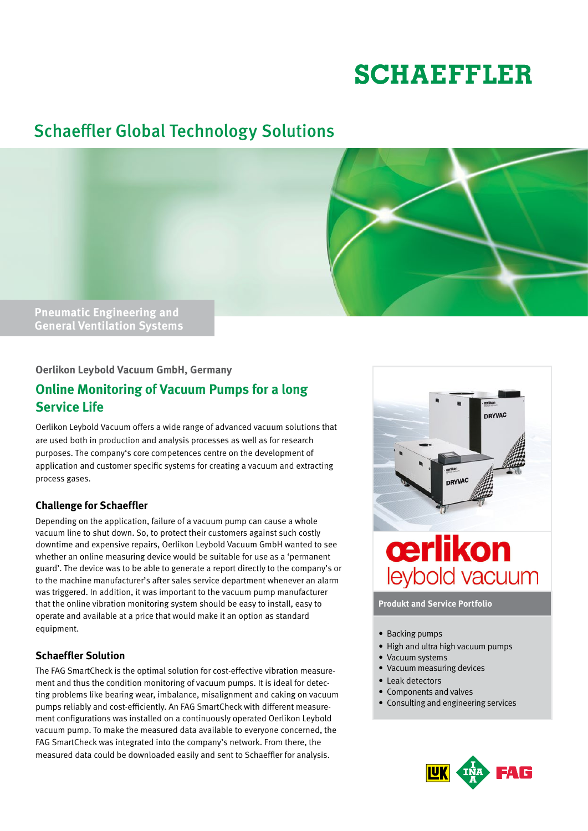# **SCHAEFFLER**

# Schaeffler Global Technology Solutions



**General Ventilation Systems**

### **Oerlikon Leybold Vacuum GmbH, Germany**

# **Online Monitoring of Vacuum Pumps for a long Service Life**

Oerlikon Leybold Vacuum offers a wide range of advanced vacuum solutions that are used both in production and analysis processes as well as for research purposes. The company's core competences centre on the development of application and customer specific systems for creating a vacuum and extracting process gases.

# **Challenge for Schaeffler**

Depending on the application, failure of a vacuum pump can cause a whole vacuum line to shut down. So, to protect their customers against such costly downtime and expensive repairs, Oerlikon Leybold Vacuum GmbH wanted to see whether an online measuring device would be suitable for use as a 'permanent guard'. The device was to be able to generate a report directly to the company's or to the machine manufacturer's after sales service department whenever an alarm was triggered. In addition, it was important to the vacuum pump manufacturer that the online vibration monitoring system should be easy to install, easy to operate and available at a price that would make it an option as standard equipment.

# **Schaeffler Solution**

The FAG SmartCheck is the optimal solution for cost-effective vibration measurement and thus the condition monitoring of vacuum pumps. It is ideal for detecting problems like bearing wear, imbalance, misalignment and caking on vacuum pumps reliably and cost-efficiently. An FAG SmartCheck with different measurement configurations was installed on a continuously operated Oerlikon Leybold vacuum pump. To make the measured data available to everyone concerned, the FAG SmartCheck was integrated into the company's network. From there, the measured data could be downloaded easily and sent to Schaeffler for analysis.



**Produkt and Service Portfolio**

- Backing pumps
- High and ultra high vacuum pumps
- Vacuum systems
- Vacuum measuring devices
- Leak detectors
- Components and valves
- • Consulting and engineering services